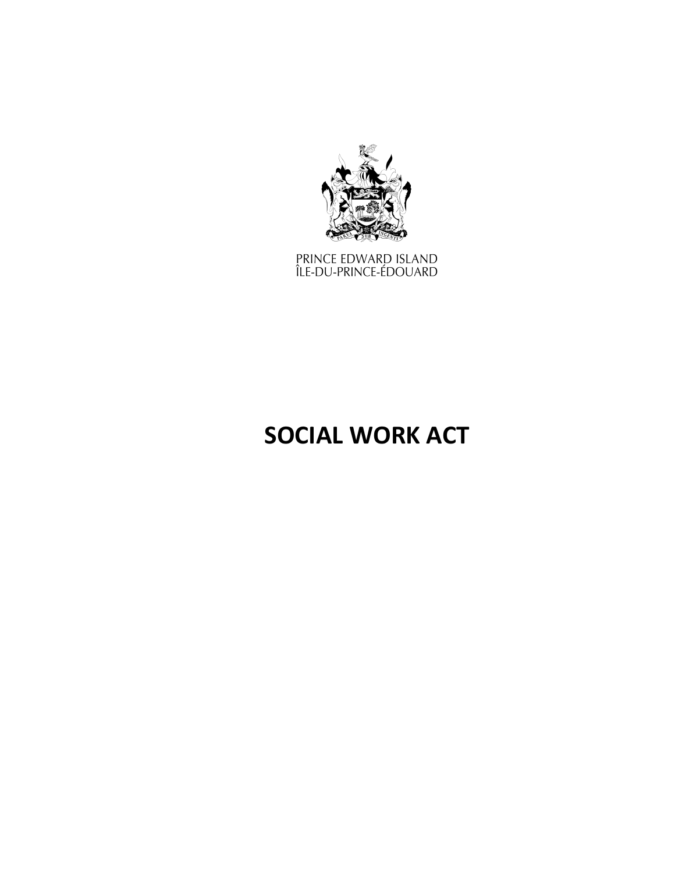

PRINCE EDWARD ISLAND<br>ÎLE-DU-PRINCE-ÉDOUARD

# **SOCIAL WORK ACT**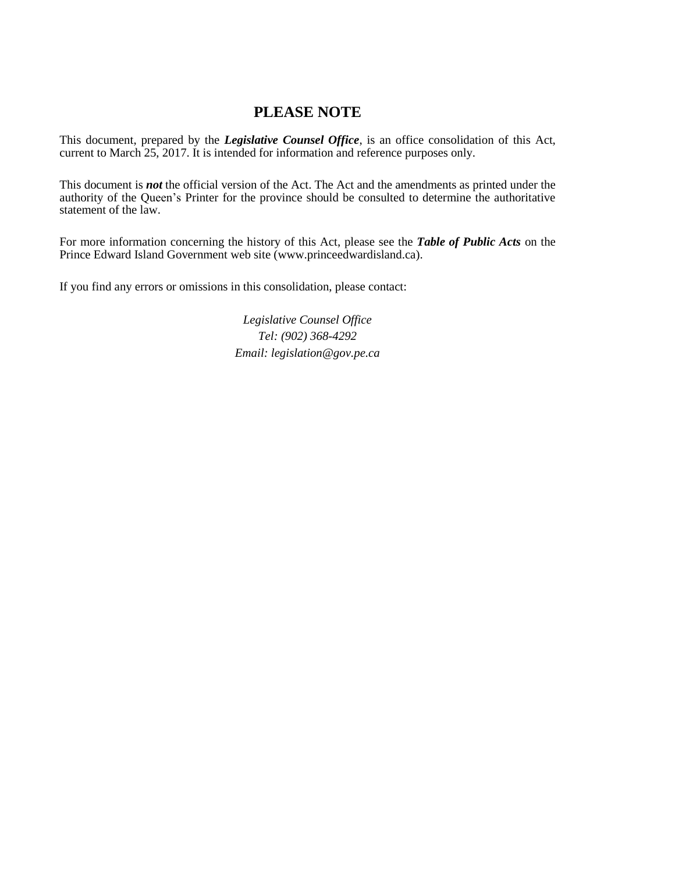# **PLEASE NOTE**

This document, prepared by the *[Legislative](http://www.gov.pe.ca/jps/index.php3?number=1027247) Counsel Office*, is an office consolidation of this Act, current to March 25, 2017. It is intended for information and reference purposes only.

This document is *not* the official version of the Act. The Act and the amendments as printed under the authority of the Queen's Printer for the province should be consulted to determine the authoritative statement of the law.

For more information concerning the history of this Act, please see the *[Table of Public Acts](https://www.princeedwardisland.ca/sites/default/files/publications/leg_table_acts.pdf)* on the Prince Edward Island Government web site (www.princeedwardisland.ca).

If you find any errors or omissions in this consolidation, please contact:

*Legislative Counsel Office Tel: (902) 368-4292 Email: legislation@gov.pe.ca*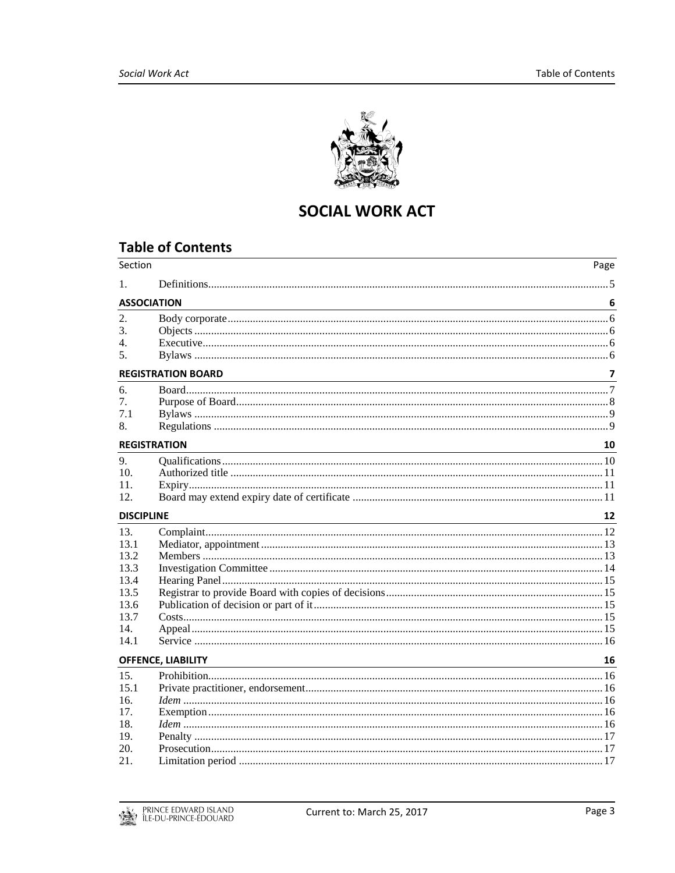

# **SOCIAL WORK ACT**

# **Table of Contents**

| Section                                                                    |                                                                                                                                                     | Page           |
|----------------------------------------------------------------------------|-----------------------------------------------------------------------------------------------------------------------------------------------------|----------------|
| 1.                                                                         |                                                                                                                                                     |                |
|                                                                            | <b>ASSOCIATION</b><br><u> 1989 - Johann Stoff, deutscher Stoffen und der Stoffen und der Stoffen und der Stoffen und der Stoffen und der</u>        | 6              |
| 2.<br>$\mathcal{E}$<br>4.<br>5.                                            |                                                                                                                                                     |                |
|                                                                            | <b>REGISTRATION BOARD</b>                                                                                                                           | $\overline{ }$ |
| 6.<br>7.<br>7.1<br>8.                                                      |                                                                                                                                                     |                |
|                                                                            | <b>REGISTRATION</b>                                                                                                                                 | 10             |
| 9.<br>10.<br>11.<br>12.                                                    |                                                                                                                                                     |                |
| <b>DISCIPLINE</b>                                                          |                                                                                                                                                     | 12             |
| 13.<br>13.1<br>13.2<br>13.3<br>13.4<br>13.5<br>13.6<br>13.7<br>14.<br>14.1 |                                                                                                                                                     |                |
|                                                                            | <b>OFFENCE, LIABILITY</b><br><u> 1989 - Johann Stoff, deutscher Stoffen und der Stoffen und der Stoffen und der Stoffen und der Stoffen und der</u> | 16             |
| 15.<br>15.1<br>16.<br>17.<br>18.<br>19.<br>20.<br>21.                      |                                                                                                                                                     |                |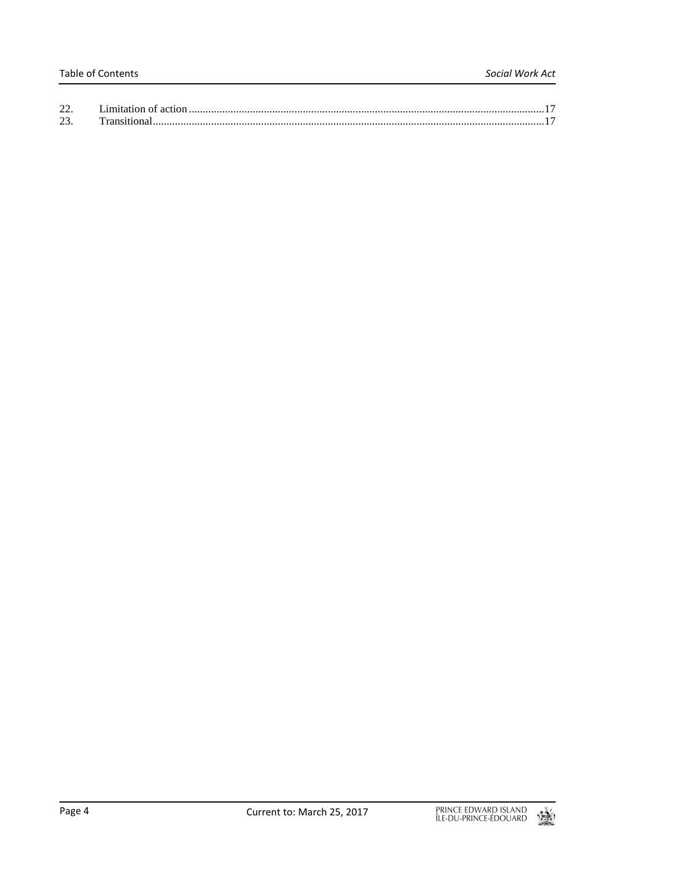| 22. |  |
|-----|--|
| 23. |  |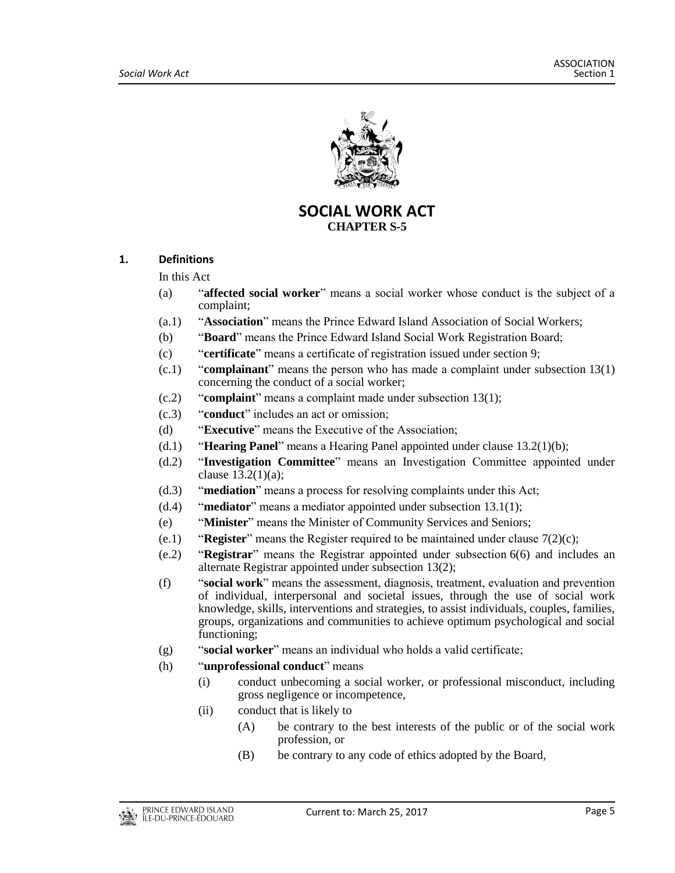

**SOCIAL WORK ACT CHAPTER S-5**

## <span id="page-4-0"></span>**1. Definitions**

In this Act

- (a) "**affected social worker**" means a social worker whose conduct is the subject of a complaint;
- (a.1) "**Association**" means the Prince Edward Island Association of Social Workers;
- (b) "**Board**" means the Prince Edward Island Social Work Registration Board;
- (c) "**certificate**" means a certificate of registration issued under section 9;
- (c.1) "**complainant**" means the person who has made a complaint under subsection 13(1) concerning the conduct of a social worker;
- (c.2) "**complaint**" means a complaint made under subsection 13(1);
- (c.3) "**conduct**" includes an act or omission;
- (d) "**Executive**" means the Executive of the Association;
- (d.1) "**Hearing Panel**" means a Hearing Panel appointed under clause 13.2(1)(b);
- (d.2) "**Investigation Committee**" means an Investigation Committee appointed under clause 13.2(1)(a);
- (d.3) "**mediation**" means a process for resolving complaints under this Act;
- (d.4) "**mediator**" means a mediator appointed under subsection 13.1(1);
- (e) "**Minister**" means the Minister of Community Services and Seniors;
- (e.1) "**Register**" means the Register required to be maintained under clause 7(2)(c);
- (e.2) "**Registrar**" means the Registrar appointed under subsection 6(6) and includes an alternate Registrar appointed under subsection 13(2);
- (f) "**social work**" means the assessment, diagnosis, treatment, evaluation and prevention of individual, interpersonal and societal issues, through the use of social work knowledge, skills, interventions and strategies, to assist individuals, couples, families, groups, organizations and communities to achieve optimum psychological and social functioning;
- (g) "**social worker**" means an individual who holds a valid certificate;
- (h) "**unprofessional conduct**" means
	- (i) conduct unbecoming a social worker, or professional misconduct, including gross negligence or incompetence,
	- (ii) conduct that is likely to
		- (A) be contrary to the best interests of the public or of the social work profession, or
		- (B) be contrary to any code of ethics adopted by the Board,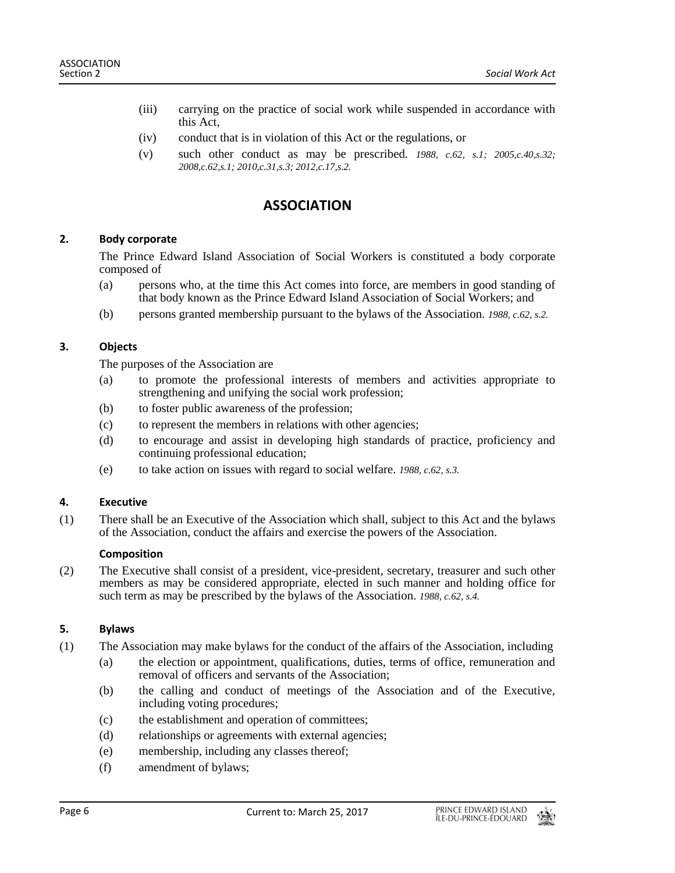- (iii) carrying on the practice of social work while suspended in accordance with this Act,
- (iv) conduct that is in violation of this Act or the regulations, or
- (v) such other conduct as may be prescribed. *1988, c.62, s.1; 2005,c.40,s.32; 2008,c.62,s.1; 2010,c.31,s.3; 2012,c.17,s.2.*

# **ASSOCIATION**

## <span id="page-5-1"></span><span id="page-5-0"></span>**2. Body corporate**

The Prince Edward Island Association of Social Workers is constituted a body corporate composed of

- (a) persons who, at the time this Act comes into force, are members in good standing of that body known as the Prince Edward Island Association of Social Workers; and
- (b) persons granted membership pursuant to the bylaws of the Association. *1988, c.62, s.2.*

## <span id="page-5-2"></span>**3. Objects**

The purposes of the Association are

- (a) to promote the professional interests of members and activities appropriate to strengthening and unifying the social work profession;
- (b) to foster public awareness of the profession;
- (c) to represent the members in relations with other agencies;
- (d) to encourage and assist in developing high standards of practice, proficiency and continuing professional education;
- (e) to take action on issues with regard to social welfare. *1988, c.62, s.3.*

## <span id="page-5-3"></span>**4. Executive**

(1) There shall be an Executive of the Association which shall, subject to this Act and the bylaws of the Association, conduct the affairs and exercise the powers of the Association.

## **Composition**

(2) The Executive shall consist of a president, vice-president, secretary, treasurer and such other members as may be considered appropriate, elected in such manner and holding office for such term as may be prescribed by the bylaws of the Association. *1988, c.62, s.4.*

## <span id="page-5-4"></span>**5. Bylaws**

- (1) The Association may make bylaws for the conduct of the affairs of the Association, including
	- (a) the election or appointment, qualifications, duties, terms of office, remuneration and removal of officers and servants of the Association;
	- (b) the calling and conduct of meetings of the Association and of the Executive, including voting procedures;
	- (c) the establishment and operation of committees;
	- (d) relationships or agreements with external agencies;
	- (e) membership, including any classes thereof;
	- (f) amendment of bylaws;

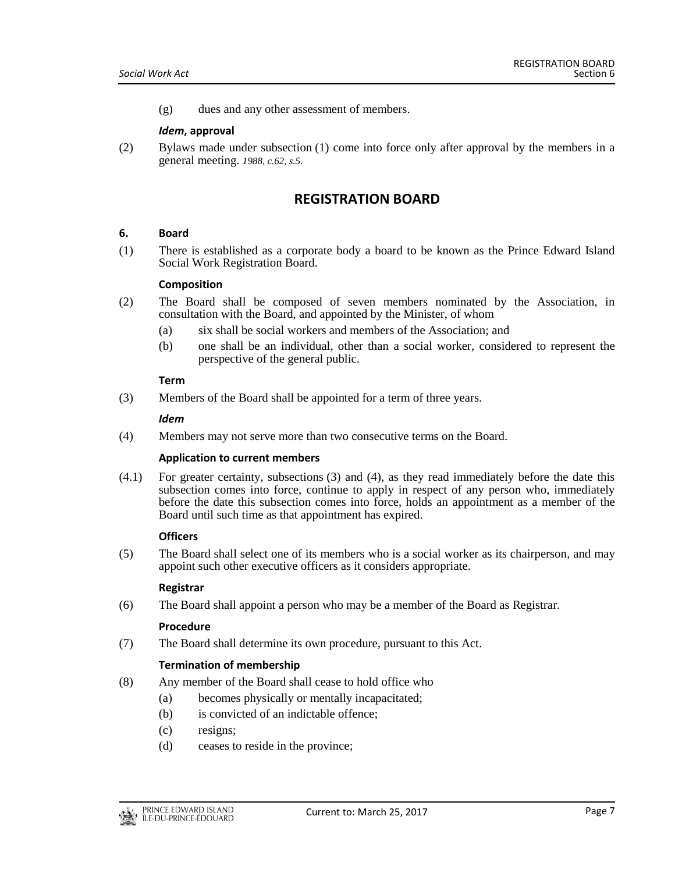(g) dues and any other assessment of members.

#### *Idem***, approval**

<span id="page-6-0"></span>(2) Bylaws made under subsection (1) come into force only after approval by the members in a general meeting. *1988, c.62, s.5.*

# **REGISTRATION BOARD**

#### <span id="page-6-1"></span>**6. Board**

(1) There is established as a corporate body a board to be known as the Prince Edward Island Social Work Registration Board.

#### **Composition**

- (2) The Board shall be composed of seven members nominated by the Association, in consultation with the Board, and appointed by the Minister, of whom
	- (a) six shall be social workers and members of the Association; and
	- (b) one shall be an individual, other than a social worker, considered to represent the perspective of the general public.

#### **Term**

(3) Members of the Board shall be appointed for a term of three years.

#### *Idem*

(4) Members may not serve more than two consecutive terms on the Board.

## **Application to current members**

(4.1) For greater certainty, subsections (3) and (4), as they read immediately before the date this subsection comes into force, continue to apply in respect of any person who, immediately before the date this subsection comes into force, holds an appointment as a member of the Board until such time as that appointment has expired.

## **Officers**

(5) The Board shall select one of its members who is a social worker as its chairperson, and may appoint such other executive officers as it considers appropriate.

## **Registrar**

(6) The Board shall appoint a person who may be a member of the Board as Registrar.

#### **Procedure**

(7) The Board shall determine its own procedure, pursuant to this Act.

## **Termination of membership**

- (8) Any member of the Board shall cease to hold office who
	- (a) becomes physically or mentally incapacitated;
	- (b) is convicted of an indictable offence;
	- (c) resigns;
	- (d) ceases to reside in the province;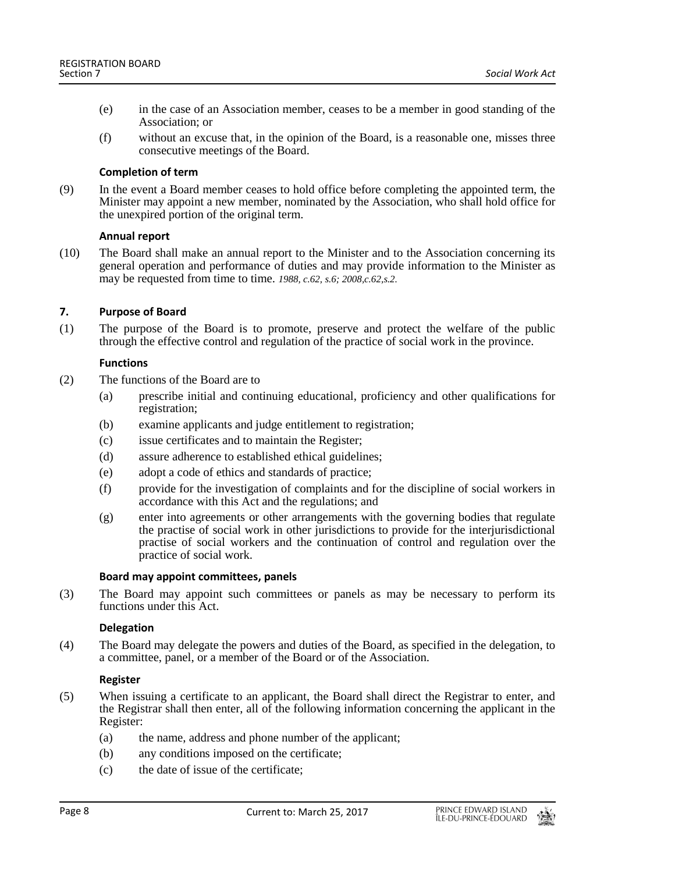- (e) in the case of an Association member, ceases to be a member in good standing of the Association; or
- (f) without an excuse that, in the opinion of the Board, is a reasonable one, misses three consecutive meetings of the Board.

#### **Completion of term**

(9) In the event a Board member ceases to hold office before completing the appointed term, the Minister may appoint a new member, nominated by the Association, who shall hold office for the unexpired portion of the original term.

#### **Annual report**

(10) The Board shall make an annual report to the Minister and to the Association concerning its general operation and performance of duties and may provide information to the Minister as may be requested from time to time. *1988, c.62, s.6; 2008,c.62,s.2.*

## <span id="page-7-0"></span>**7. Purpose of Board**

(1) The purpose of the Board is to promote, preserve and protect the welfare of the public through the effective control and regulation of the practice of social work in the province.

## **Functions**

- (2) The functions of the Board are to
	- (a) prescribe initial and continuing educational, proficiency and other qualifications for registration;
	- (b) examine applicants and judge entitlement to registration;
	- (c) issue certificates and to maintain the Register;
	- (d) assure adherence to established ethical guidelines;
	- (e) adopt a code of ethics and standards of practice;
	- (f) provide for the investigation of complaints and for the discipline of social workers in accordance with this Act and the regulations; and
	- (g) enter into agreements or other arrangements with the governing bodies that regulate the practise of social work in other jurisdictions to provide for the interjurisdictional practise of social workers and the continuation of control and regulation over the practice of social work.

## **Board may appoint committees, panels**

(3) The Board may appoint such committees or panels as may be necessary to perform its functions under this Act.

## **Delegation**

(4) The Board may delegate the powers and duties of the Board, as specified in the delegation, to a committee, panel, or a member of the Board or of the Association.

#### **Register**

- (5) When issuing a certificate to an applicant, the Board shall direct the Registrar to enter, and the Registrar shall then enter, all of the following information concerning the applicant in the Register:
	- (a) the name, address and phone number of the applicant;
	- (b) any conditions imposed on the certificate;
	- (c) the date of issue of the certificate;

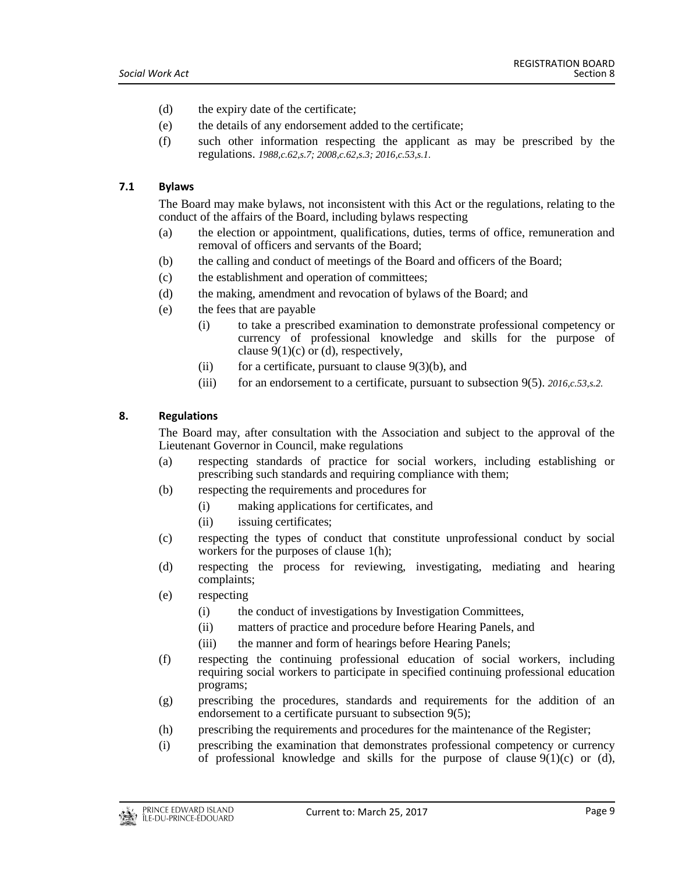- (d) the expiry date of the certificate;
- (e) the details of any endorsement added to the certificate;
- (f) such other information respecting the applicant as may be prescribed by the regulations. *1988,c.62,s.7; 2008,c.62,s.3; 2016,c.53,s.1.*

#### <span id="page-8-0"></span>**7.1 Bylaws**

The Board may make bylaws, not inconsistent with this Act or the regulations, relating to the conduct of the affairs of the Board, including bylaws respecting

- (a) the election or appointment, qualifications, duties, terms of office, remuneration and removal of officers and servants of the Board;
- (b) the calling and conduct of meetings of the Board and officers of the Board;
- (c) the establishment and operation of committees;
- (d) the making, amendment and revocation of bylaws of the Board; and
- (e) the fees that are payable
	- (i) to take a prescribed examination to demonstrate professional competency or currency of professional knowledge and skills for the purpose of clause  $9(1)(c)$  or (d), respectively,
	- (ii) for a certificate, pursuant to clause  $9(3)(b)$ , and
	- (iii) for an endorsement to a certificate, pursuant to subsection 9(5). *2016,c.53,s.2.*

#### <span id="page-8-1"></span>**8. Regulations**

The Board may, after consultation with the Association and subject to the approval of the Lieutenant Governor in Council, make regulations

- (a) respecting standards of practice for social workers, including establishing or prescribing such standards and requiring compliance with them;
- (b) respecting the requirements and procedures for
	- (i) making applications for certificates, and
	- (ii) issuing certificates;
- (c) respecting the types of conduct that constitute unprofessional conduct by social workers for the purposes of clause 1(h);
- (d) respecting the process for reviewing, investigating, mediating and hearing complaints;
- (e) respecting
	- (i) the conduct of investigations by Investigation Committees,
	- (ii) matters of practice and procedure before Hearing Panels, and
	- (iii) the manner and form of hearings before Hearing Panels;
- (f) respecting the continuing professional education of social workers, including requiring social workers to participate in specified continuing professional education programs;
- (g) prescribing the procedures, standards and requirements for the addition of an endorsement to a certificate pursuant to subsection 9(5);
- (h) prescribing the requirements and procedures for the maintenance of the Register;
- (i) prescribing the examination that demonstrates professional competency or currency of professional knowledge and skills for the purpose of clause  $9(1)(c)$  or (d),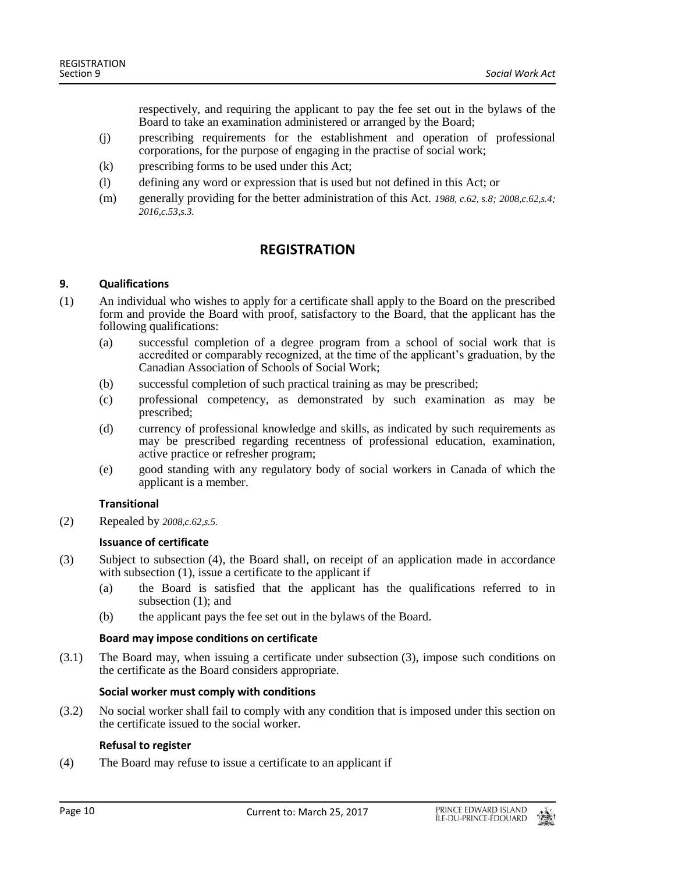respectively, and requiring the applicant to pay the fee set out in the bylaws of the Board to take an examination administered or arranged by the Board;

- (j) prescribing requirements for the establishment and operation of professional corporations, for the purpose of engaging in the practise of social work;
- (k) prescribing forms to be used under this Act;
- (l) defining any word or expression that is used but not defined in this Act; or
- <span id="page-9-0"></span>(m) generally providing for the better administration of this Act. *1988, c.62, s.8; 2008,c.62,s.4; 2016,c.53,s.3.*

# **REGISTRATION**

## <span id="page-9-1"></span>**9. Qualifications**

- (1) An individual who wishes to apply for a certificate shall apply to the Board on the prescribed form and provide the Board with proof, satisfactory to the Board, that the applicant has the following qualifications:
	- (a) successful completion of a degree program from a school of social work that is accredited or comparably recognized, at the time of the applicant's graduation, by the Canadian Association of Schools of Social Work;
	- (b) successful completion of such practical training as may be prescribed;
	- (c) professional competency, as demonstrated by such examination as may be prescribed;
	- (d) currency of professional knowledge and skills, as indicated by such requirements as may be prescribed regarding recentness of professional education, examination, active practice or refresher program;
	- (e) good standing with any regulatory body of social workers in Canada of which the applicant is a member.

## **Transitional**

(2) Repealed by *2008,c.62,s.5.*

## **Issuance of certificate**

- (3) Subject to subsection (4), the Board shall, on receipt of an application made in accordance with subsection (1), issue a certificate to the applicant if
	- (a) the Board is satisfied that the applicant has the qualifications referred to in subsection  $(1)$ ; and
	- (b) the applicant pays the fee set out in the bylaws of the Board.

## **Board may impose conditions on certificate**

(3.1) The Board may, when issuing a certificate under subsection (3), impose such conditions on the certificate as the Board considers appropriate.

## **Social worker must comply with conditions**

(3.2) No social worker shall fail to comply with any condition that is imposed under this section on the certificate issued to the social worker.

## **Refusal to register**

(4) The Board may refuse to issue a certificate to an applicant if

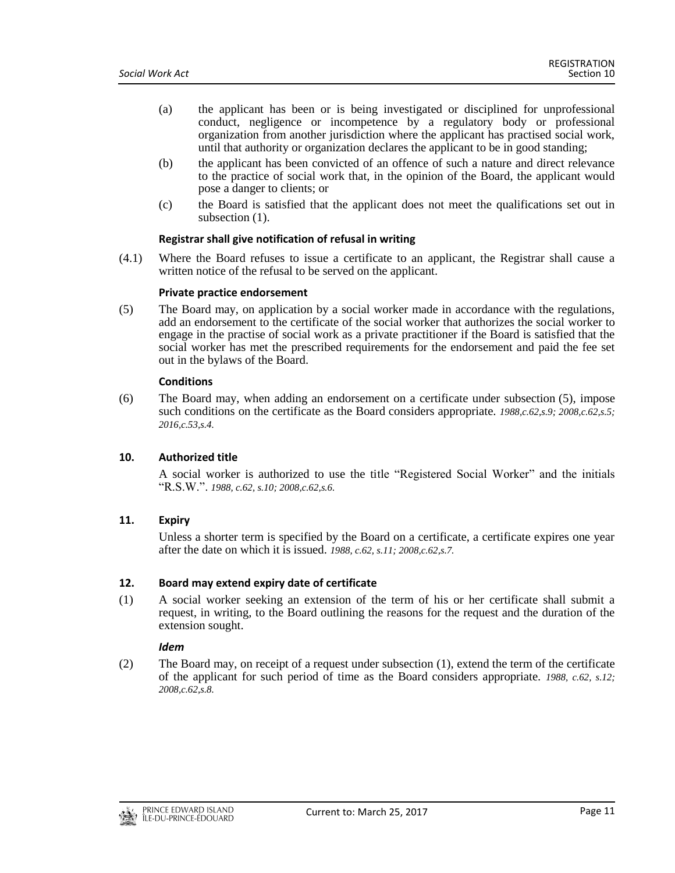- (a) the applicant has been or is being investigated or disciplined for unprofessional conduct, negligence or incompetence by a regulatory body or professional organization from another jurisdiction where the applicant has practised social work, until that authority or organization declares the applicant to be in good standing;
- (b) the applicant has been convicted of an offence of such a nature and direct relevance to the practice of social work that, in the opinion of the Board, the applicant would pose a danger to clients; or
- (c) the Board is satisfied that the applicant does not meet the qualifications set out in subsection  $(1)$ .

#### **Registrar shall give notification of refusal in writing**

(4.1) Where the Board refuses to issue a certificate to an applicant, the Registrar shall cause a written notice of the refusal to be served on the applicant.

#### **Private practice endorsement**

(5) The Board may, on application by a social worker made in accordance with the regulations, add an endorsement to the certificate of the social worker that authorizes the social worker to engage in the practise of social work as a private practitioner if the Board is satisfied that the social worker has met the prescribed requirements for the endorsement and paid the fee set out in the bylaws of the Board.

#### **Conditions**

(6) The Board may, when adding an endorsement on a certificate under subsection (5), impose such conditions on the certificate as the Board considers appropriate. *1988,c.62,s.9; 2008,c.62,s.5; 2016,c.53,s.4.*

#### <span id="page-10-0"></span>**10. Authorized title**

A social worker is authorized to use the title "Registered Social Worker" and the initials "R.S.W.". *1988, c.62, s.10; 2008,c.62,s.6.*

#### <span id="page-10-1"></span>**11. Expiry**

Unless a shorter term is specified by the Board on a certificate, a certificate expires one year after the date on which it is issued. *1988, c.62, s.11; 2008,c.62,s.7.*

#### <span id="page-10-2"></span>**12. Board may extend expiry date of certificate**

(1) A social worker seeking an extension of the term of his or her certificate shall submit a request, in writing, to the Board outlining the reasons for the request and the duration of the extension sought.

#### *Idem*

(2) The Board may, on receipt of a request under subsection (1), extend the term of the certificate of the applicant for such period of time as the Board considers appropriate. *1988, c.62, s.12; 2008,c.62,s.8.*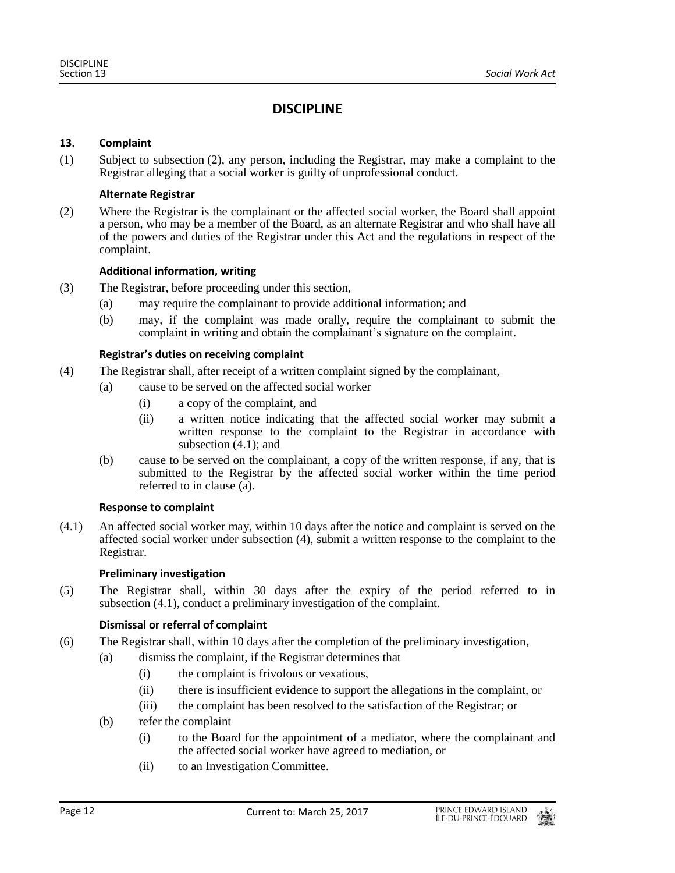# **DISCIPLINE**

## <span id="page-11-1"></span><span id="page-11-0"></span>**13. Complaint**

(1) Subject to subsection (2), any person, including the Registrar, may make a complaint to the Registrar alleging that a social worker is guilty of unprofessional conduct.

## **Alternate Registrar**

(2) Where the Registrar is the complainant or the affected social worker, the Board shall appoint a person, who may be a member of the Board, as an alternate Registrar and who shall have all of the powers and duties of the Registrar under this Act and the regulations in respect of the complaint.

## **Additional information, writing**

- (3) The Registrar, before proceeding under this section,
	- (a) may require the complainant to provide additional information; and
	- (b) may, if the complaint was made orally, require the complainant to submit the complaint in writing and obtain the complainant's signature on the complaint.

## **Registrar's duties on receiving complaint**

- (4) The Registrar shall, after receipt of a written complaint signed by the complainant,
	- (a) cause to be served on the affected social worker
		- (i) a copy of the complaint, and
		- (ii) a written notice indicating that the affected social worker may submit a written response to the complaint to the Registrar in accordance with subsection  $(4.1)$ ; and
	- (b) cause to be served on the complainant, a copy of the written response, if any, that is submitted to the Registrar by the affected social worker within the time period referred to in clause (a).

## **Response to complaint**

(4.1) An affected social worker may, within 10 days after the notice and complaint is served on the affected social worker under subsection (4), submit a written response to the complaint to the Registrar.

## **Preliminary investigation**

(5) The Registrar shall, within 30 days after the expiry of the period referred to in subsection (4.1), conduct a preliminary investigation of the complaint.

## **Dismissal or referral of complaint**

- (6) The Registrar shall, within 10 days after the completion of the preliminary investigation*,*
	- (a) dismiss the complaint, if the Registrar determines that
		- (i) the complaint is frivolous or vexatious,
		- (ii) there is insufficient evidence to support the allegations in the complaint, or
		- (iii) the complaint has been resolved to the satisfaction of the Registrar; or
	- (b) refer the complaint
		- (i) to the Board for the appointment of a mediator, where the complainant and the affected social worker have agreed to mediation, or
		- (ii) to an Investigation Committee.

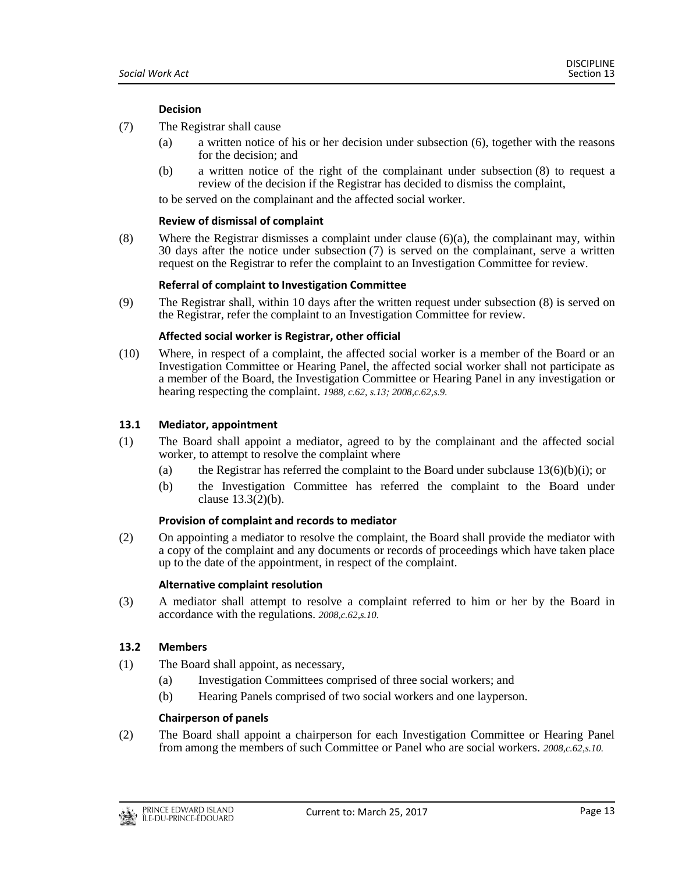## **Decision**

- (7) The Registrar shall cause
	- (a) a written notice of his or her decision under subsection (6), together with the reasons for the decision; and
	- (b) a written notice of the right of the complainant under subsection (8) to request a review of the decision if the Registrar has decided to dismiss the complaint,

to be served on the complainant and the affected social worker.

#### **Review of dismissal of complaint**

(8) Where the Registrar dismisses a complaint under clause (6)(a), the complainant may, within 30 days after the notice under subsection (7) is served on the complainant, serve a written request on the Registrar to refer the complaint to an Investigation Committee for review.

#### **Referral of complaint to Investigation Committee**

(9) The Registrar shall, within 10 days after the written request under subsection (8) is served on the Registrar, refer the complaint to an Investigation Committee for review.

#### **Affected social worker is Registrar, other official**

(10) Where, in respect of a complaint, the affected social worker is a member of the Board or an Investigation Committee or Hearing Panel, the affected social worker shall not participate as a member of the Board, the Investigation Committee or Hearing Panel in any investigation or hearing respecting the complaint. *1988, c.62, s.13; 2008,c.62,s.9.*

#### <span id="page-12-0"></span>**13.1 Mediator, appointment**

- (1) The Board shall appoint a mediator, agreed to by the complainant and the affected social worker, to attempt to resolve the complaint where
	- (a) the Registrar has referred the complaint to the Board under subclause  $13(6)(b)(i)$ ; or
	- (b) the Investigation Committee has referred the complaint to the Board under clause  $13.3(2)(b)$ .

#### **Provision of complaint and records to mediator**

(2) On appointing a mediator to resolve the complaint, the Board shall provide the mediator with a copy of the complaint and any documents or records of proceedings which have taken place up to the date of the appointment, in respect of the complaint.

#### **Alternative complaint resolution**

(3) A mediator shall attempt to resolve a complaint referred to him or her by the Board in accordance with the regulations. *2008,c.62,s.10.*

#### <span id="page-12-1"></span>**13.2 Members**

- (1) The Board shall appoint, as necessary,
	- (a) Investigation Committees comprised of three social workers; and
	- (b) Hearing Panels comprised of two social workers and one layperson.

#### **Chairperson of panels**

(2) The Board shall appoint a chairperson for each Investigation Committee or Hearing Panel from among the members of such Committee or Panel who are social workers. *2008,c.62,s.10.*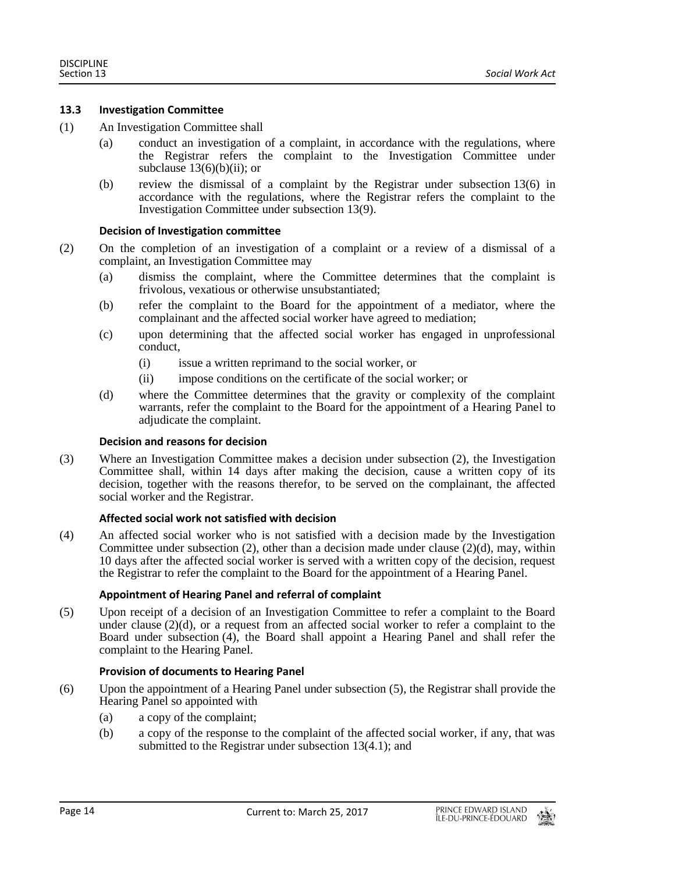## <span id="page-13-0"></span>**13.3 Investigation Committee**

- (1) An Investigation Committee shall
	- (a) conduct an investigation of a complaint, in accordance with the regulations, where the Registrar refers the complaint to the Investigation Committee under subclause  $13(6)(b)(ii)$ ; or
	- (b) review the dismissal of a complaint by the Registrar under subsection 13(6) in accordance with the regulations, where the Registrar refers the complaint to the Investigation Committee under subsection 13(9).

#### **Decision of Investigation committee**

- (2) On the completion of an investigation of a complaint or a review of a dismissal of a complaint, an Investigation Committee may
	- (a) dismiss the complaint, where the Committee determines that the complaint is frivolous, vexatious or otherwise unsubstantiated;
	- (b) refer the complaint to the Board for the appointment of a mediator, where the complainant and the affected social worker have agreed to mediation;
	- (c) upon determining that the affected social worker has engaged in unprofessional conduct,
		- (i) issue a written reprimand to the social worker, or
		- (ii) impose conditions on the certificate of the social worker; or
	- (d) where the Committee determines that the gravity or complexity of the complaint warrants, refer the complaint to the Board for the appointment of a Hearing Panel to adjudicate the complaint.

#### **Decision and reasons for decision**

(3) Where an Investigation Committee makes a decision under subsection (2), the Investigation Committee shall, within 14 days after making the decision, cause a written copy of its decision, together with the reasons therefor, to be served on the complainant, the affected social worker and the Registrar.

## **Affected social work not satisfied with decision**

(4) An affected social worker who is not satisfied with a decision made by the Investigation Committee under subsection  $(2)$ , other than a decision made under clause  $(2)(d)$ , may, within 10 days after the affected social worker is served with a written copy of the decision, request the Registrar to refer the complaint to the Board for the appointment of a Hearing Panel.

## **Appointment of Hearing Panel and referral of complaint**

(5) Upon receipt of a decision of an Investigation Committee to refer a complaint to the Board under clause  $(2)(d)$ , or a request from an affected social worker to refer a complaint to the Board under subsection (4), the Board shall appoint a Hearing Panel and shall refer the complaint to the Hearing Panel.

## **Provision of documents to Hearing Panel**

- (6) Upon the appointment of a Hearing Panel under subsection (5), the Registrar shall provide the Hearing Panel so appointed with
	- (a) a copy of the complaint;
	- (b) a copy of the response to the complaint of the affected social worker, if any, that was submitted to the Registrar under subsection 13(4.1); and

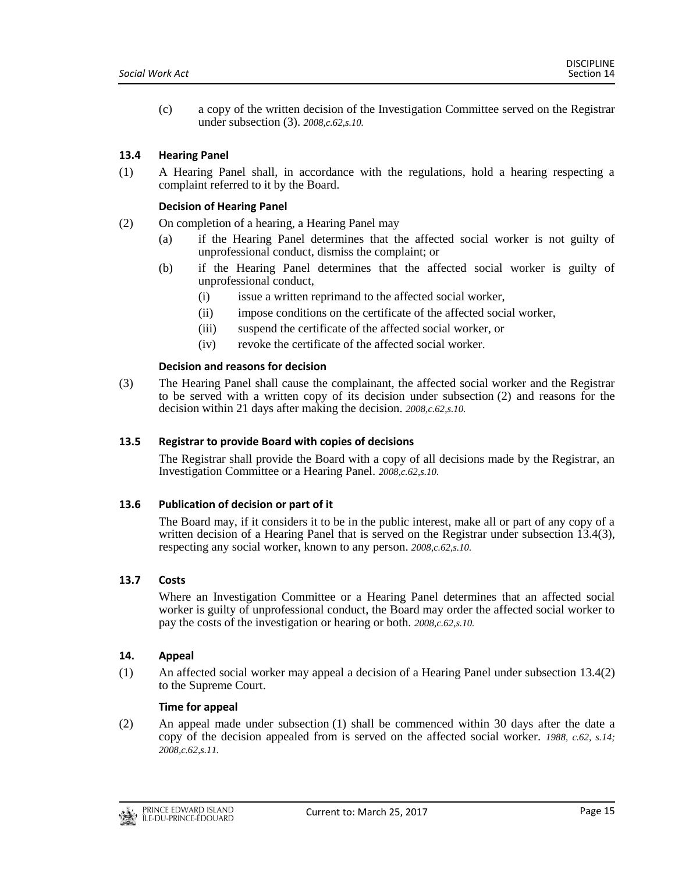(c) a copy of the written decision of the Investigation Committee served on the Registrar under subsection (3). *2008,c.62,s.10.*

## <span id="page-14-0"></span>**13.4 Hearing Panel**

(1) A Hearing Panel shall, in accordance with the regulations, hold a hearing respecting a complaint referred to it by the Board.

## **Decision of Hearing Panel**

- (2) On completion of a hearing, a Hearing Panel may
	- (a) if the Hearing Panel determines that the affected social worker is not guilty of unprofessional conduct, dismiss the complaint; or
	- (b) if the Hearing Panel determines that the affected social worker is guilty of unprofessional conduct,
		- (i) issue a written reprimand to the affected social worker,
		- (ii) impose conditions on the certificate of the affected social worker,
		- (iii) suspend the certificate of the affected social worker, or
		- (iv) revoke the certificate of the affected social worker.

#### **Decision and reasons for decision**

(3) The Hearing Panel shall cause the complainant, the affected social worker and the Registrar to be served with a written copy of its decision under subsection (2) and reasons for the decision within 21 days after making the decision. *2008,c.62,s.10.*

#### <span id="page-14-1"></span>**13.5 Registrar to provide Board with copies of decisions**

The Registrar shall provide the Board with a copy of all decisions made by the Registrar, an Investigation Committee or a Hearing Panel. *2008,c.62,s.10.*

## <span id="page-14-2"></span>**13.6 Publication of decision or part of it**

The Board may, if it considers it to be in the public interest, make all or part of any copy of a written decision of a Hearing Panel that is served on the Registrar under subsection 13.4(3), respecting any social worker, known to any person. *2008,c.62,s.10.*

## <span id="page-14-3"></span>**13.7 Costs**

Where an Investigation Committee or a Hearing Panel determines that an affected social worker is guilty of unprofessional conduct, the Board may order the affected social worker to pay the costs of the investigation or hearing or both. *2008,c.62,s.10.*

#### <span id="page-14-4"></span>**14. Appeal**

(1) An affected social worker may appeal a decision of a Hearing Panel under subsection 13.4(2) to the Supreme Court.

#### **Time for appeal**

(2) An appeal made under subsection (1) shall be commenced within 30 days after the date a copy of the decision appealed from is served on the affected social worker. *1988, c.62, s.14; 2008,c.62,s.11.*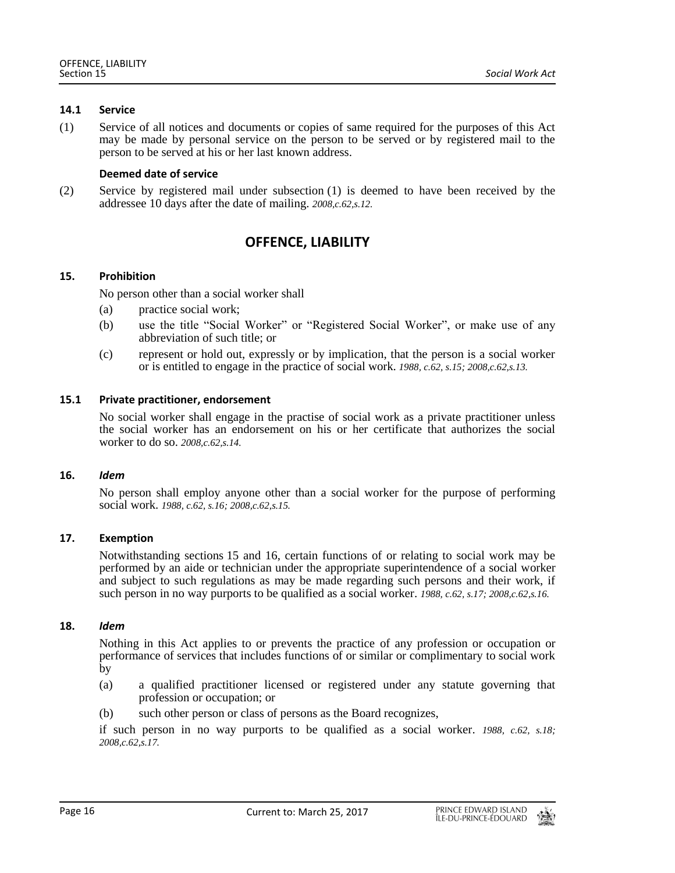#### <span id="page-15-0"></span>**14.1 Service**

(1) Service of all notices and documents or copies of same required for the purposes of this Act may be made by personal service on the person to be served or by registered mail to the person to be served at his or her last known address.

## **Deemed date of service**

<span id="page-15-1"></span>(2) Service by registered mail under subsection (1) is deemed to have been received by the addressee 10 days after the date of mailing. *2008,c.62,s.12.*

# **OFFENCE, LIABILITY**

## <span id="page-15-2"></span>**15. Prohibition**

No person other than a social worker shall

- (a) practice social work;
- (b) use the title "Social Worker" or "Registered Social Worker", or make use of any abbreviation of such title; or
- (c) represent or hold out, expressly or by implication, that the person is a social worker or is entitled to engage in the practice of social work. *1988, c.62, s.15; 2008,c.62,s.13.*

#### <span id="page-15-3"></span>**15.1 Private practitioner, endorsement**

No social worker shall engage in the practise of social work as a private practitioner unless the social worker has an endorsement on his or her certificate that authorizes the social worker to do so. *2008,c.62,s.14.*

#### <span id="page-15-4"></span>**16.** *Idem*

No person shall employ anyone other than a social worker for the purpose of performing social work. *1988, c.62, s.16; 2008,c.62,s.15.*

## <span id="page-15-5"></span>**17. Exemption**

Notwithstanding sections 15 and 16, certain functions of or relating to social work may be performed by an aide or technician under the appropriate superintendence of a social worker and subject to such regulations as may be made regarding such persons and their work, if such person in no way purports to be qualified as a social worker. *1988, c.62, s.17; 2008,c.62,s.16.*

#### <span id="page-15-6"></span>**18.** *Idem*

Nothing in this Act applies to or prevents the practice of any profession or occupation or performance of services that includes functions of or similar or complimentary to social work by

- (a) a qualified practitioner licensed or registered under any statute governing that profession or occupation; or
- (b) such other person or class of persons as the Board recognizes,

if such person in no way purports to be qualified as a social worker. *1988, c.62, s.18; 2008,c.62,s.17.*